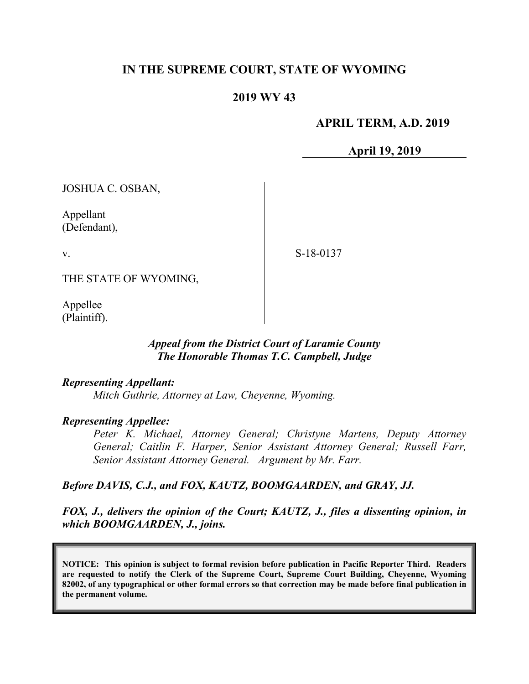# **IN THE SUPREME COURT, STATE OF WYOMING**

## **2019 WY 43**

### **APRIL TERM, A.D. 2019**

**April 19, 2019**

JOSHUA C. OSBAN,

Appellant (Defendant),

v.

S-18-0137

THE STATE OF WYOMING,

Appellee (Plaintiff).

### *Appeal from the District Court of Laramie County The Honorable Thomas T.C. Campbell, Judge*

#### *Representing Appellant:*

*Mitch Guthrie, Attorney at Law, Cheyenne, Wyoming.*

#### *Representing Appellee:*

*Peter K. Michael, Attorney General; Christyne Martens, Deputy Attorney General; Caitlin F. Harper, Senior Assistant Attorney General; Russell Farr, Senior Assistant Attorney General. Argument by Mr. Farr.*

#### *Before DAVIS, C.J., and FOX, KAUTZ, BOOMGAARDEN, and GRAY, JJ.*

## *FOX, J., delivers the opinion of the Court; KAUTZ, J., files a dissenting opinion, in which BOOMGAARDEN, J., joins.*

**NOTICE: This opinion is subject to formal revision before publication in Pacific Reporter Third. Readers are requested to notify the Clerk of the Supreme Court, Supreme Court Building, Cheyenne, Wyoming 82002, of any typographical or other formal errors so that correction may be made before final publication in the permanent volume.**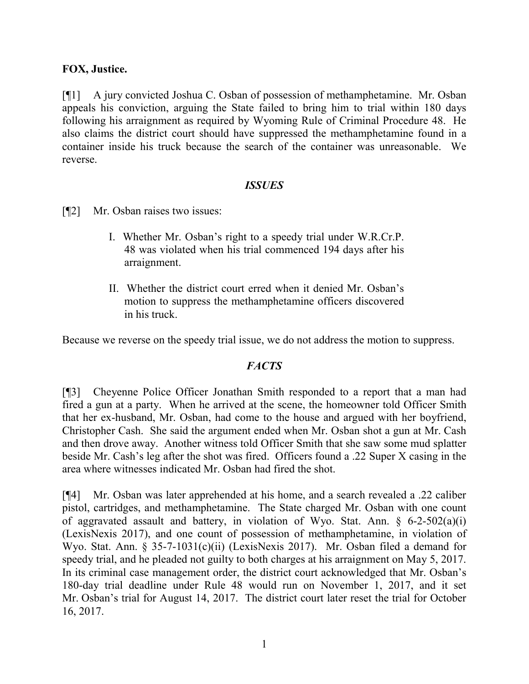# **FOX, Justice.**

[¶1] A jury convicted Joshua C. Osban of possession of methamphetamine. Mr. Osban appeals his conviction, arguing the State failed to bring him to trial within 180 days following his arraignment as required by Wyoming Rule of Criminal Procedure 48. He also claims the district court should have suppressed the methamphetamine found in a container inside his truck because the search of the container was unreasonable. We reverse.

### *ISSUES*

- [¶2] Mr. Osban raises two issues:
	- I. Whether Mr. Osban's right to a speedy trial under W.R.Cr.P. 48 was violated when his trial commenced 194 days after his arraignment.
	- II. Whether the district court erred when it denied Mr. Osban's motion to suppress the methamphetamine officers discovered in his truck.

Because we reverse on the speedy trial issue, we do not address the motion to suppress.

### *FACTS*

[¶3] Cheyenne Police Officer Jonathan Smith responded to a report that a man had fired a gun at a party. When he arrived at the scene, the homeowner told Officer Smith that her ex-husband, Mr. Osban, had come to the house and argued with her boyfriend, Christopher Cash. She said the argument ended when Mr. Osban shot a gun at Mr. Cash and then drove away. Another witness told Officer Smith that she saw some mud splatter beside Mr. Cash's leg after the shot was fired. Officers found a .22 Super X casing in the area where witnesses indicated Mr. Osban had fired the shot.

[¶4] Mr. Osban was later apprehended at his home, and a search revealed a .22 caliber pistol, cartridges, and methamphetamine. The State charged Mr. Osban with one count of aggravated assault and battery, in violation of Wyo. Stat. Ann. § 6-2-502(a)(i) (LexisNexis 2017), and one count of possession of methamphetamine, in violation of Wyo. Stat. Ann. § 35-7-1031(c)(ii) (LexisNexis 2017). Mr. Osban filed a demand for speedy trial, and he pleaded not guilty to both charges at his arraignment on May 5, 2017. In its criminal case management order, the district court acknowledged that Mr. Osban's 180-day trial deadline under Rule 48 would run on November 1, 2017, and it set Mr. Osban's trial for August 14, 2017. The district court later reset the trial for October 16, 2017.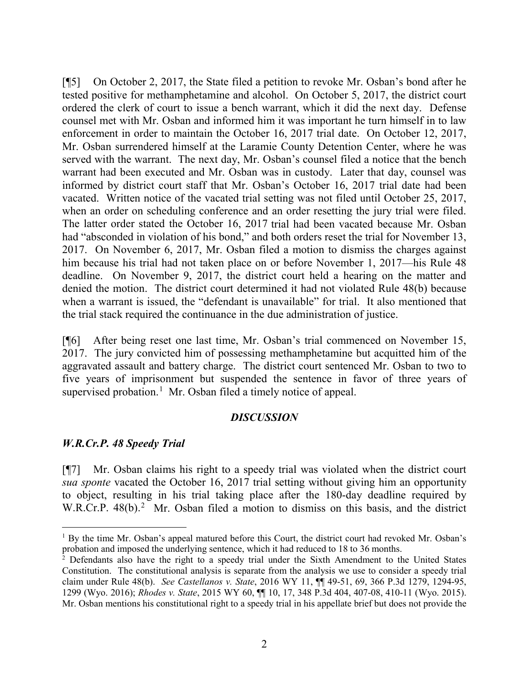[¶5] On October 2, 2017, the State filed a petition to revoke Mr. Osban's bond after he tested positive for methamphetamine and alcohol. On October 5, 2017, the district court ordered the clerk of court to issue a bench warrant, which it did the next day. Defense counsel met with Mr. Osban and informed him it was important he turn himself in to law enforcement in order to maintain the October 16, 2017 trial date. On October 12, 2017, Mr. Osban surrendered himself at the Laramie County Detention Center, where he was served with the warrant. The next day, Mr. Osban's counsel filed a notice that the bench warrant had been executed and Mr. Osban was in custody. Later that day, counsel was informed by district court staff that Mr. Osban's October 16, 2017 trial date had been vacated. Written notice of the vacated trial setting was not filed until October 25, 2017, when an order on scheduling conference and an order resetting the jury trial were filed. The latter order stated the October 16, 2017 trial had been vacated because Mr. Osban had "absconded in violation of his bond," and both orders reset the trial for November 13, 2017. On November 6, 2017, Mr. Osban filed a motion to dismiss the charges against him because his trial had not taken place on or before November 1, 2017—his Rule 48 deadline. On November 9, 2017, the district court held a hearing on the matter and denied the motion. The district court determined it had not violated Rule 48(b) because when a warrant is issued, the "defendant is unavailable" for trial. It also mentioned that the trial stack required the continuance in the due administration of justice.

[¶6] After being reset one last time, Mr. Osban's trial commenced on November 15, 2017. The jury convicted him of possessing methamphetamine but acquitted him of the aggravated assault and battery charge. The district court sentenced Mr. Osban to two to five years of imprisonment but suspended the sentence in favor of three years of supervised probation.<sup>[1](#page-2-0)</sup> Mr. Osban filed a timely notice of appeal.

### *DISCUSSION*

### *W.R.Cr.P. 48 Speedy Trial*

[¶7] Mr. Osban claims his right to a speedy trial was violated when the district court *sua sponte* vacated the October 16, 2017 trial setting without giving him an opportunity to object, resulting in his trial taking place after the 180-day deadline required by W.R.Cr.P. 48(b).<sup>[2](#page-2-1)</sup> Mr. Osban filed a motion to dismiss on this basis, and the district

<span id="page-2-0"></span> <sup>1</sup> By the time Mr. Osban's appeal matured before this Court, the district court had revoked Mr. Osban's probation and imposed the underlying sentence, which it had reduced to 18 to 36 months.

<span id="page-2-1"></span><sup>&</sup>lt;sup>2</sup> Defendants also have the right to a speedy trial under the Sixth Amendment to the United States Constitution. The constitutional analysis is separate from the analysis we use to consider a speedy trial claim under Rule 48(b). *See Castellanos v. State*, 2016 WY 11, ¶¶ 49-51, 69, 366 P.3d 1279, 1294-95, 1299 (Wyo. 2016); *Rhodes v. State*, 2015 WY 60, ¶¶ 10, 17, 348 P.3d 404, 407-08, 410-11 (Wyo. 2015). Mr. Osban mentions his constitutional right to a speedy trial in his appellate brief but does not provide the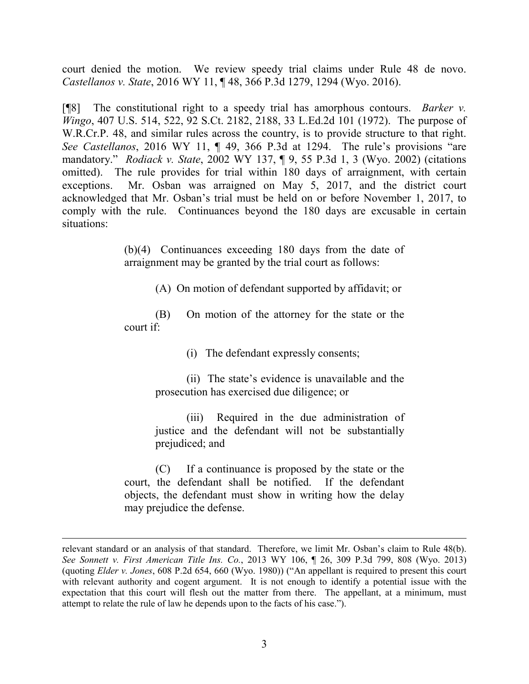court denied the motion. We review speedy trial claims under Rule 48 de novo. *Castellanos v. State*, 2016 WY 11, ¶ 48, 366 P.3d 1279, 1294 (Wyo. 2016).

[¶8] The constitutional right to a speedy trial has amorphous contours. *Barker v. Wingo*, 407 U.S. 514, 522, 92 S.Ct. 2182, 2188, 33 L.Ed.2d 101 (1972).The purpose of W.R.Cr.P. 48, and similar rules across the country, is to provide structure to that right. *See Castellanos*, 2016 WY 11, ¶ 49, 366 P.3d at 1294. The rule's provisions "are mandatory." *Rodiack v. State*, 2002 WY 137, ¶ 9, 55 P.3d 1, 3 (Wyo. 2002) (citations omitted). The rule provides for trial within 180 days of arraignment, with certain exceptions. Mr. Osban was arraigned on May 5, 2017, and the district court acknowledged that Mr. Osban's trial must be held on or before November 1, 2017, to comply with the rule. Continuances beyond the 180 days are excusable in certain situations:

> (b)(4) Continuances exceeding 180 days from the date of arraignment may be granted by the trial court as follows:

> > (A) On motion of defendant supported by affidavit; or

(B) On motion of the attorney for the state or the court if:

(i) The defendant expressly consents;

(ii) The state's evidence is unavailable and the prosecution has exercised due diligence; or

(iii) Required in the due administration of justice and the defendant will not be substantially prejudiced; and

(C) If a continuance is proposed by the state or the court, the defendant shall be notified. If the defendant objects, the defendant must show in writing how the delay may prejudice the defense.

 $\overline{a}$ 

relevant standard or an analysis of that standard. Therefore, we limit Mr. Osban's claim to Rule 48(b). *See Sonnett v. First American Title Ins. Co.*, 2013 WY 106, ¶ 26, 309 P.3d 799, 808 (Wyo. 2013) (quoting *Elder v. Jones*, 608 P.2d 654, 660 (Wyo. 1980)) ("An appellant is required to present this court with relevant authority and cogent argument. It is not enough to identify a potential issue with the expectation that this court will flesh out the matter from there. The appellant, at a minimum, must attempt to relate the rule of law he depends upon to the facts of his case.").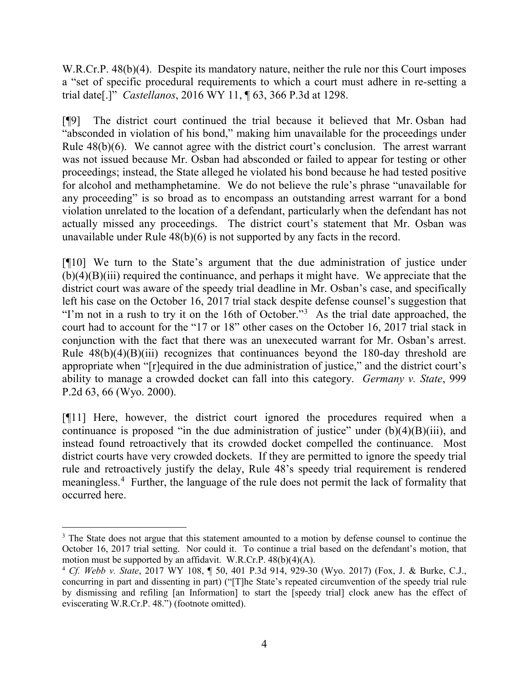W.R.Cr.P. 48(b)(4). Despite its mandatory nature, neither the rule nor this Court imposes a "set of specific procedural requirements to which a court must adhere in re-setting a trial date[.]" *Castellanos*, 2016 WY 11, ¶ 63, 366 P.3d at 1298.

[¶9] The district court continued the trial because it believed that Mr. Osban had "absconded in violation of his bond," making him unavailable for the proceedings under Rule 48(b)(6). We cannot agree with the district court's conclusion. The arrest warrant was not issued because Mr. Osban had absconded or failed to appear for testing or other proceedings; instead, the State alleged he violated his bond because he had tested positive for alcohol and methamphetamine. We do not believe the rule's phrase "unavailable for any proceeding" is so broad as to encompass an outstanding arrest warrant for a bond violation unrelated to the location of a defendant, particularly when the defendant has not actually missed any proceedings. The district court's statement that Mr. Osban was unavailable under Rule 48(b)(6) is not supported by any facts in the record.

[¶10] We turn to the State's argument that the due administration of justice under (b)(4)(B)(iii) required the continuance, and perhaps it might have. We appreciate that the district court was aware of the speedy trial deadline in Mr. Osban's case, and specifically left his case on the October 16, 2017 trial stack despite defense counsel's suggestion that "I'm not in a rush to try it on the 16th of October."<sup>[3](#page-4-0)</sup> As the trial date approached, the court had to account for the "17 or 18" other cases on the October 16, 2017 trial stack in conjunction with the fact that there was an unexecuted warrant for Mr. Osban's arrest. Rule  $48(b)(4)(B)(iii)$  recognizes that continuances beyond the 180-day threshold are appropriate when "[r]equired in the due administration of justice," and the district court's ability to manage a crowded docket can fall into this category. *Germany v. State*, 999 P.2d 63, 66 (Wyo. 2000).

[¶11] Here, however, the district court ignored the procedures required when a continuance is proposed "in the due administration of justice" under  $(b)(4)(B)(iii)$ , and instead found retroactively that its crowded docket compelled the continuance. Most district courts have very crowded dockets. If they are permitted to ignore the speedy trial rule and retroactively justify the delay, Rule 48's speedy trial requirement is rendered meaningless.[4](#page-4-1) Further, the language of the rule does not permit the lack of formality that occurred here.

<span id="page-4-0"></span><sup>&</sup>lt;sup>3</sup> The State does not argue that this statement amounted to a motion by defense counsel to continue the October 16, 2017 trial setting. Nor could it. To continue a trial based on the defendant's motion, that motion must be supported by an affidavit. W.R.Cr.P. 48(b)(4)(A).

<span id="page-4-1"></span><sup>4</sup> *Cf. Webb v. State*, 2017 WY 108, ¶ 50, 401 P.3d 914, 929-30 (Wyo. 2017) (Fox, J. & Burke, C.J., concurring in part and dissenting in part) ("[T]he State's repeated circumvention of the speedy trial rule by dismissing and refiling [an Information] to start the [speedy trial] clock anew has the effect of eviscerating W.R.Cr.P. 48.") (footnote omitted).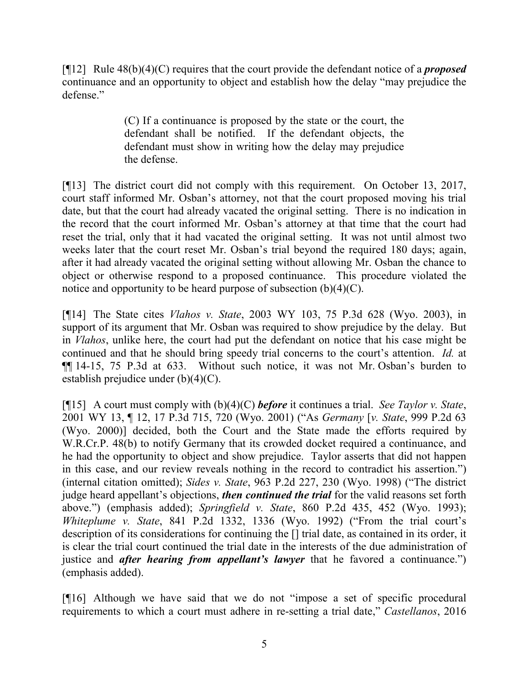[¶12] Rule 48(b)(4)(C) requires that the court provide the defendant notice of a *proposed* continuance and an opportunity to object and establish how the delay "may prejudice the defense."

> (C) If a continuance is proposed by the state or the court, the defendant shall be notified. If the defendant objects, the defendant must show in writing how the delay may prejudice the defense.

[¶13] The district court did not comply with this requirement. On October 13, 2017, court staff informed Mr. Osban's attorney, not that the court proposed moving his trial date, but that the court had already vacated the original setting. There is no indication in the record that the court informed Mr. Osban's attorney at that time that the court had reset the trial, only that it had vacated the original setting. It was not until almost two weeks later that the court reset Mr. Osban's trial beyond the required 180 days; again, after it had already vacated the original setting without allowing Mr. Osban the chance to object or otherwise respond to a proposed continuance. This procedure violated the notice and opportunity to be heard purpose of subsection  $(b)(4)(C)$ .

[¶14] The State cites *Vlahos v. State*, 2003 WY 103, 75 P.3d 628 (Wyo. 2003), in support of its argument that Mr. Osban was required to show prejudice by the delay. But in *Vlahos*, unlike here, the court had put the defendant on notice that his case might be continued and that he should bring speedy trial concerns to the court's attention. *Id.* at ¶¶ 14-15, 75 P.3d at 633. Without such notice, it was not Mr. Osban's burden to establish prejudice under (b)(4)(C).

[¶15] A court must comply with (b)(4)(C) *before* it continues a trial. *See Taylor v. State*, 2001 WY 13, ¶ 12, 17 P.3d 715, 720 (Wyo. 2001) ("As *Germany* [*v. State*, 999 P.2d 63 (Wyo. 2000)] decided, both the Court and the State made the efforts required by W.R.Cr.P. 48(b) to notify Germany that its crowded docket required a continuance, and he had the opportunity to object and show prejudice. Taylor asserts that did not happen in this case, and our review reveals nothing in the record to contradict his assertion.") (internal citation omitted); *Sides v. State*, 963 P.2d 227, 230 (Wyo. 1998) ("The district judge heard appellant's objections, *then continued the trial* for the valid reasons set forth above.") (emphasis added); *Springfield v. State*, 860 P.2d 435, 452 (Wyo. 1993); *Whiteplume v. State*, 841 P.2d 1332, 1336 (Wyo. 1992) ("From the trial court's description of its considerations for continuing the [] trial date, as contained in its order, it is clear the trial court continued the trial date in the interests of the due administration of justice and *after hearing from appellant's lawyer* that he favored a continuance.") (emphasis added).

[¶16] Although we have said that we do not "impose a set of specific procedural requirements to which a court must adhere in re-setting a trial date," *Castellanos*, 2016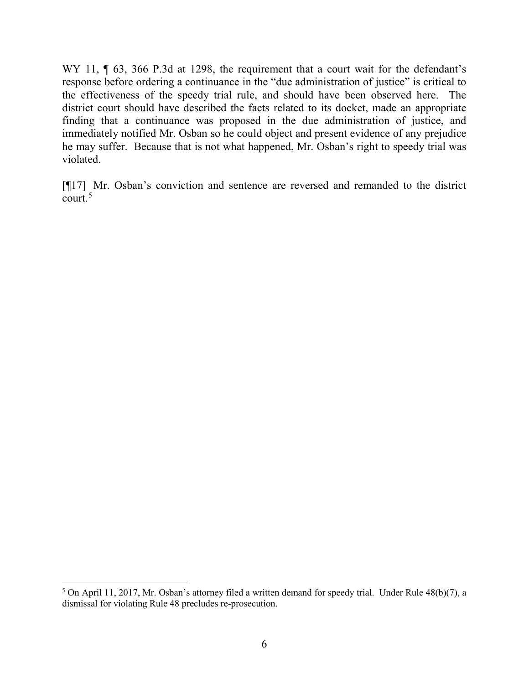WY 11,  $\parallel$  63, 366 P.3d at 1298, the requirement that a court wait for the defendant's response before ordering a continuance in the "due administration of justice" is critical to the effectiveness of the speedy trial rule, and should have been observed here. The district court should have described the facts related to its docket, made an appropriate finding that a continuance was proposed in the due administration of justice, and immediately notified Mr. Osban so he could object and present evidence of any prejudice he may suffer. Because that is not what happened, Mr. Osban's right to speedy trial was violated.

[¶17] Mr. Osban's conviction and sentence are reversed and remanded to the district court. $5$ 

<span id="page-6-0"></span> <sup>5</sup> On April 11, 2017, Mr. Osban's attorney filed a written demand for speedy trial. Under Rule 48(b)(7), a dismissal for violating Rule 48 precludes re-prosecution.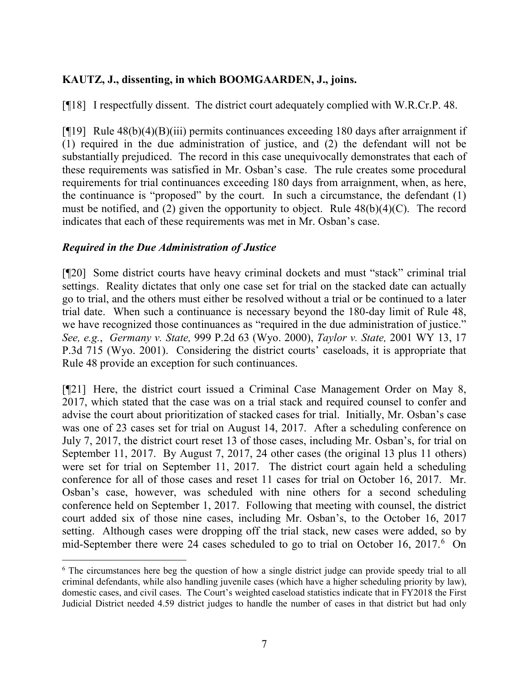# **KAUTZ, J., dissenting, in which BOOMGAARDEN, J., joins.**

[¶18] I respectfully dissent. The district court adequately complied with W.R.Cr.P. 48.

[¶19] Rule 48(b)(4)(B)(iii) permits continuances exceeding 180 days after arraignment if (1) required in the due administration of justice, and (2) the defendant will not be substantially prejudiced. The record in this case unequivocally demonstrates that each of these requirements was satisfied in Mr. Osban's case. The rule creates some procedural requirements for trial continuances exceeding 180 days from arraignment, when, as here, the continuance is "proposed" by the court. In such a circumstance, the defendant (1) must be notified, and (2) given the opportunity to object. Rule  $48(b)(4)(C)$ . The record indicates that each of these requirements was met in Mr. Osban's case.

### *Required in the Due Administration of Justice*

[¶20] Some district courts have heavy criminal dockets and must "stack" criminal trial settings. Reality dictates that only one case set for trial on the stacked date can actually go to trial, and the others must either be resolved without a trial or be continued to a later trial date. When such a continuance is necessary beyond the 180-day limit of Rule 48, we have recognized those continuances as "required in the due administration of justice." *See, e.g.*, *Germany v. State,* 999 P.2d 63 (Wyo. 2000), *Taylor v. State,* 2001 WY 13, 17 P.3d 715 (Wyo. 2001). Considering the district courts' caseloads, it is appropriate that Rule 48 provide an exception for such continuances.

[¶21] Here, the district court issued a Criminal Case Management Order on May 8, 2017, which stated that the case was on a trial stack and required counsel to confer and advise the court about prioritization of stacked cases for trial. Initially, Mr. Osban's case was one of 23 cases set for trial on August 14, 2017. After a scheduling conference on July 7, 2017, the district court reset 13 of those cases, including Mr. Osban's, for trial on September 11, 2017. By August 7, 2017, 24 other cases (the original 13 plus 11 others) were set for trial on September 11, 2017. The district court again held a scheduling conference for all of those cases and reset 11 cases for trial on October 16, 2017. Mr. Osban's case, however, was scheduled with nine others for a second scheduling conference held on September 1, 2017. Following that meeting with counsel, the district court added six of those nine cases, including Mr. Osban's, to the October 16, 2017 setting. Although cases were dropping off the trial stack, new cases were added, so by mid-September there were 24 cases scheduled to go to trial on October 1[6](#page-7-0), 2017.<sup>6</sup> On

<span id="page-7-0"></span><sup>&</sup>lt;sup>6</sup> The circumstances here beg the question of how a single district judge can provide speedy trial to all criminal defendants, while also handling juvenile cases (which have a higher scheduling priority by law), domestic cases, and civil cases. The Court's weighted caseload statistics indicate that in FY2018 the First Judicial District needed 4.59 district judges to handle the number of cases in that district but had only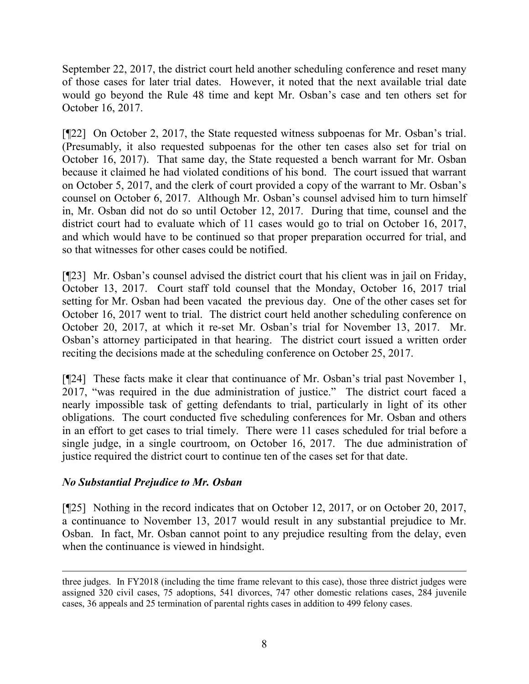September 22, 2017, the district court held another scheduling conference and reset many of those cases for later trial dates. However, it noted that the next available trial date would go beyond the Rule 48 time and kept Mr. Osban's case and ten others set for October 16, 2017.

[¶22] On October 2, 2017, the State requested witness subpoenas for Mr. Osban's trial. (Presumably, it also requested subpoenas for the other ten cases also set for trial on October 16, 2017). That same day, the State requested a bench warrant for Mr. Osban because it claimed he had violated conditions of his bond. The court issued that warrant on October 5, 2017, and the clerk of court provided a copy of the warrant to Mr. Osban's counsel on October 6, 2017. Although Mr. Osban's counsel advised him to turn himself in, Mr. Osban did not do so until October 12, 2017. During that time, counsel and the district court had to evaluate which of 11 cases would go to trial on October 16, 2017, and which would have to be continued so that proper preparation occurred for trial, and so that witnesses for other cases could be notified.

[¶23] Mr. Osban's counsel advised the district court that his client was in jail on Friday, October 13, 2017. Court staff told counsel that the Monday, October 16, 2017 trial setting for Mr. Osban had been vacated the previous day. One of the other cases set for October 16, 2017 went to trial. The district court held another scheduling conference on October 20, 2017, at which it re-set Mr. Osban's trial for November 13, 2017. Mr. Osban's attorney participated in that hearing. The district court issued a written order reciting the decisions made at the scheduling conference on October 25, 2017.

[¶24] These facts make it clear that continuance of Mr. Osban's trial past November 1, 2017, "was required in the due administration of justice." The district court faced a nearly impossible task of getting defendants to trial, particularly in light of its other obligations. The court conducted five scheduling conferences for Mr. Osban and others in an effort to get cases to trial timely. There were 11 cases scheduled for trial before a single judge, in a single courtroom, on October 16, 2017. The due administration of justice required the district court to continue ten of the cases set for that date.

# *No Substantial Prejudice to Mr. Osban*

[¶25] Nothing in the record indicates that on October 12, 2017, or on October 20, 2017, a continuance to November 13, 2017 would result in any substantial prejudice to Mr. Osban. In fact, Mr. Osban cannot point to any prejudice resulting from the delay, even when the continuance is viewed in hindsight.

 $\overline{a}$ three judges. In FY2018 (including the time frame relevant to this case), those three district judges were assigned 320 civil cases, 75 adoptions, 541 divorces, 747 other domestic relations cases, 284 juvenile cases, 36 appeals and 25 termination of parental rights cases in addition to 499 felony cases.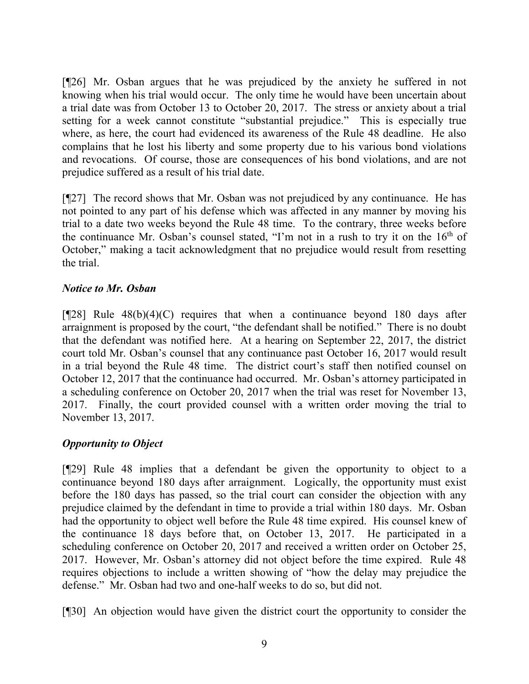[¶26] Mr. Osban argues that he was prejudiced by the anxiety he suffered in not knowing when his trial would occur. The only time he would have been uncertain about a trial date was from October 13 to October 20, 2017. The stress or anxiety about a trial setting for a week cannot constitute "substantial prejudice." This is especially true where, as here, the court had evidenced its awareness of the Rule 48 deadline. He also complains that he lost his liberty and some property due to his various bond violations and revocations. Of course, those are consequences of his bond violations, and are not prejudice suffered as a result of his trial date.

[¶27] The record shows that Mr. Osban was not prejudiced by any continuance. He has not pointed to any part of his defense which was affected in any manner by moving his trial to a date two weeks beyond the Rule 48 time. To the contrary, three weeks before the continuance Mr. Osban's counsel stated, "I'm not in a rush to try it on the 16th of October," making a tacit acknowledgment that no prejudice would result from resetting the trial.

# *Notice to Mr. Osban*

 $[928]$  Rule 48(b)(4)(C) requires that when a continuance beyond 180 days after arraignment is proposed by the court, "the defendant shall be notified." There is no doubt that the defendant was notified here. At a hearing on September 22, 2017, the district court told Mr. Osban's counsel that any continuance past October 16, 2017 would result in a trial beyond the Rule 48 time. The district court's staff then notified counsel on October 12, 2017 that the continuance had occurred. Mr. Osban's attorney participated in a scheduling conference on October 20, 2017 when the trial was reset for November 13, 2017. Finally, the court provided counsel with a written order moving the trial to November 13, 2017.

# *Opportunity to Object*

[¶29] Rule 48 implies that a defendant be given the opportunity to object to a continuance beyond 180 days after arraignment. Logically, the opportunity must exist before the 180 days has passed, so the trial court can consider the objection with any prejudice claimed by the defendant in time to provide a trial within 180 days. Mr. Osban had the opportunity to object well before the Rule 48 time expired. His counsel knew of the continuance 18 days before that, on October 13, 2017. He participated in a scheduling conference on October 20, 2017 and received a written order on October 25, 2017. However, Mr. Osban's attorney did not object before the time expired. Rule 48 requires objections to include a written showing of "how the delay may prejudice the defense." Mr. Osban had two and one-half weeks to do so, but did not.

[¶30] An objection would have given the district court the opportunity to consider the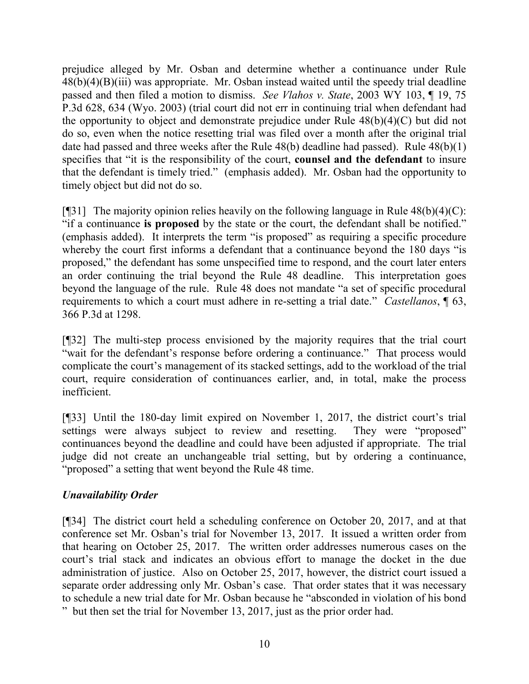prejudice alleged by Mr. Osban and determine whether a continuance under Rule  $48(b)(4)(B)(iii)$  was appropriate. Mr. Osban instead waited until the speedy trial deadline passed and then filed a motion to dismiss. *See Vlahos v. State*, 2003 WY 103, ¶ 19, 75 P.3d 628, 634 (Wyo. 2003) (trial court did not err in continuing trial when defendant had the opportunity to object and demonstrate prejudice under Rule 48(b)(4)(C) but did not do so, even when the notice resetting trial was filed over a month after the original trial date had passed and three weeks after the Rule 48(b) deadline had passed). Rule 48(b)(1) specifies that "it is the responsibility of the court, **counsel and the defendant** to insure that the defendant is timely tried." (emphasis added). Mr. Osban had the opportunity to timely object but did not do so.

[ $[$ ][31] The majority opinion relies heavily on the following language in Rule  $48(b)(4)(C)$ : "if a continuance **is proposed** by the state or the court, the defendant shall be notified." (emphasis added). It interprets the term "is proposed" as requiring a specific procedure whereby the court first informs a defendant that a continuance beyond the 180 days "is proposed," the defendant has some unspecified time to respond, and the court later enters an order continuing the trial beyond the Rule 48 deadline. This interpretation goes beyond the language of the rule. Rule 48 does not mandate "a set of specific procedural requirements to which a court must adhere in re-setting a trial date." *Castellanos*, ¶ 63, 366 P.3d at 1298.

[¶32] The multi-step process envisioned by the majority requires that the trial court "wait for the defendant's response before ordering a continuance." That process would complicate the court's management of its stacked settings, add to the workload of the trial court, require consideration of continuances earlier, and, in total, make the process inefficient.

[¶33] Until the 180-day limit expired on November 1, 2017, the district court's trial settings were always subject to review and resetting. They were "proposed" continuances beyond the deadline and could have been adjusted if appropriate. The trial judge did not create an unchangeable trial setting, but by ordering a continuance, "proposed" a setting that went beyond the Rule 48 time.

# *Unavailability Order*

[¶34] The district court held a scheduling conference on October 20, 2017, and at that conference set Mr. Osban's trial for November 13, 2017. It issued a written order from that hearing on October 25, 2017. The written order addresses numerous cases on the court's trial stack and indicates an obvious effort to manage the docket in the due administration of justice. Also on October 25, 2017, however, the district court issued a separate order addressing only Mr. Osban's case. That order states that it was necessary to schedule a new trial date for Mr. Osban because he "absconded in violation of his bond " but then set the trial for November 13, 2017, just as the prior order had.